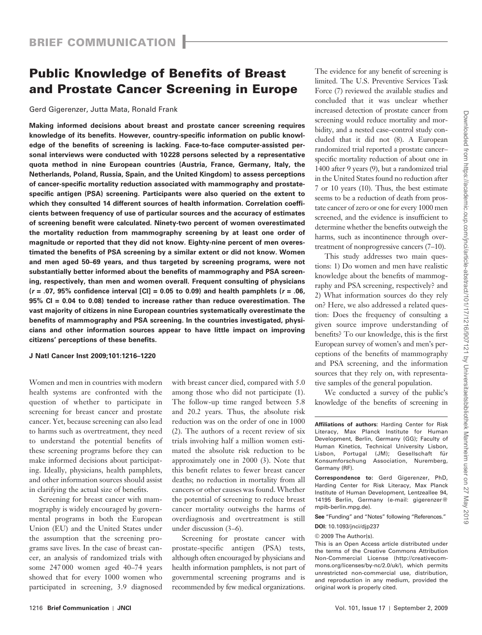# **Public Knowledge of Benefits of Breast and Prostate Cancer Screening in Europe**

Gerd Gigerenzer, Jutta Mata, Ronald Frank

**Making informed decisions about breast and prostate cancer screening requires knowledge of its benefits. However, country-specific information on public knowledge of the benefits of screening is lacking. Face-to-face computer-assisted personal interviews were conducted with 10 228 persons selected by a representative quota method in nine European countries (Austria, France, Germany, Italy, the Netherlands, Poland, Russia, Spain, and the United Kingdom) to assess perceptions of cancer-specific mortality reduction associated with mammography and prostatespecific antigen (PSA) screening. Participants were also queried on the extent to which they consulted 14 different sources of health information. Correlation coefficients between frequency of use of particular sources and the accuracy of estimates of screening benefit were calculated. Ninety-two percent of women overestimated the mortality reduction from mammography screening by at least one order of magnitude or reported that they did not know. Eighty-nine percent of men overestimated the benefits of PSA screening by a similar extent or did not know. Women**  and men aged 50–69 years, and thus targeted by screening programs, were not **substantially better informed about the benefits of mammography and PSA screening, respectively, than men and women overall. Frequent consulting of physicians (** *r* **= .07, 95% confidence interval [CI] = 0.05 to 0.09) and health pamphlets (** *r* **= .06, 95% CI = 0.04 to 0.08) tended to increase rather than reduce overestimation. The vast majority of citizens in nine European countries systematically overestimate the benefits of mammography and PSA screening. In the countries investigated, physicians and other information sources appear to have little impact on improving**  citizens' perceptions of these benefits.

# **J Natl Cancer Inst 2009;101:1216–1220**

Women and men in countries with modern health systems are confronted with the question of whether to participate in screening for breast cancer and prostate cancer. Yet, because screening can also lead to harms such as overtreatment, they need to understand the potential benefits of these screening programs before they can make informed decisions about participating. Ideally, physicians, health pamphlets, and other information sources should assist in clarifying the actual size of benefits.

Screening for breast cancer with mammography is widely encouraged by governmental programs in both the European Union (EU) and the United States under the assumption that the screening programs save lives. In the case of breast cancer, an analysis of randomized trials with some 247000 women aged 40-74 years showed that for every 1000 women who participated in screening, 3.9 diagnosed

with breast cancer died, compared with 5.0 among those who did not participate (1). The follow-up time ranged between 5.8 and 20.2 years. Thus, the absolute risk reduction was on the order of one in 1000  $(2)$ . The authors of a recent review of six trials involving half a million women estimated the absolute risk reduction to be approximately one in  $2000$  (3). Note that this benefit relates to fewer breast cancer deaths; no reduction in mortality from all cancers or other causes was found. Whether the potential of screening to reduce breast cancer mortality outweighs the harms of overdiagnosis and overtreatment is still under discussion  $(3-6)$ .

Screening for prostate cancer with prostate-specific antigen (PSA) tests, although often encouraged by physicians and health information pamphlets, is not part of governmental screening programs and is recommended by few medical organizations.

The evidence for any benefit of screening is limited. The U.S. Preventive Services Task Force (7) reviewed the available studies and concluded that it was unclear whether increased detection of prostate cancer from screening would reduce mortality and morbidity, and a nested case-control study concluded that it did not  $(8)$ . A European randomized trial reported a prostate cancerspecific mortality reduction of about one in 1400 after 9 years (9), but a randomized trial in the United States found no reduction after 7 or 10 years (10). Thus, the best estimate seems to be a reduction of death from prostate cancer of zero or one for every 1000 men screened, and the evidence is insufficient to determine whether the benefits outweigh the harms, such as incontinence through overtreatment of nonprogressive cancers  $(7-10)$ .

This study addresses two main questions: 1) Do women and men have realistic knowledge about the benefits of mammography and PSA screening, respectively? and 2) What information sources do they rely on? Here, we also addressed a related question: Does the frequency of consulting a given source improve understanding of benefits? To our knowledge, this is the first European survey of women's and men's perceptions of the benefits of mammography and PSA screening, and the information sources that they rely on, with representative samples of the general population.

We conducted a survey of the public's knowledge of the benefits of screening in

**Affiliations of authors:** Harding Center for Risk Literacy, Max Planck Institute for Human Development, Berlin, Germany (GG); Faculty of Human Kinetics, Technical University Lisbon, Lisbon, Portugal (JM); Gesellschaft für Konsumforschung Association, Nuremberg, Germany (RF).

**Correspondence to:** Gerd Gigerenzer, PhD, Harding Center for Risk Literacy, Max Planck Institute of Human Development, Lentzeallee 94, 14195 Berlin, Germany (e-mail: gigerenzer@ mpib-berlin.mpg.de ).

**See** "Funding" and "Notes" following "References." **DOI:** 10.1093/jnci/djp237

#### © 2009 The Author(s).

This is an Open Access article distributed under the terms of the Creative Commons Attribution Non-Commercial License ([http://creativecom](http://creativecom-mons.org/licenses/by-nc/2.0/uk/)[mons.org/licenses/by-nc/2.0/uk/\)](http://creativecom-mons.org/licenses/by-nc/2.0/uk/), which permits unrestricted non-commercial use, distribution, and reproduction in any medium, provided the original work is properly cited.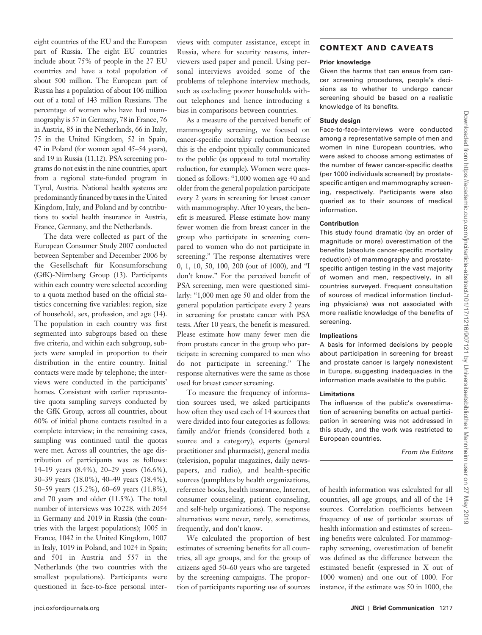eight countries of the EU and the European part of Russia. The eight EU countries include about 75% of people in the 27 EU countries and have a total population of about 500 million. The European part of Russia has a population of about 106 million out of a total of 143 million Russians. The percentage of women who have had mammography is 57 in Germany, 78 in France, 76 in Austria, 85 in the Netherlands, 66 in Italy, 75 in the United Kingdom, 52 in Spain, 47 in Poland (for women aged 45-54 years), and 19 in Russia  $(11, 12)$ . PSA screening programs do not exist in the nine countries, apart from a regional state-funded program in Tyrol, Austria. National health systems are predominantly financed by taxes in the United Kingdom, Italy, and Poland and by contributions to social health insurance in Austria, France, Germany, and the Netherlands.

The data were collected as part of the European Consumer Study 2007 conducted between September and December 2006 by the Gesellschaft für Konsumforschung (GfK)-Nürnberg Group (13). Participants within each country were selected according to a quota method based on the official statistics concerning five variables: region, size of household, sex, profession, and age  $(14)$ . The population in each country was first segmented into subgroups based on these five criteria, and within each subgroup, subjects were sampled in proportion to their distribution in the entire country. Initial contacts were made by telephone; the interviews were conducted in the participants' homes. Consistent with earlier representative quota sampling surveys conducted by the GfK Group, across all countries, about 60% of initial phone contacts resulted in a complete interview; in the remaining cases, sampling was continued until the quotas were met. Across all countries, the age distribution of participants was as follows: 14-19 years (8.4%), 20-29 years (16.6%), 30-39 years (18.0%), 40-49 years (18.4%), 50-59 years (15.2%), 60-69 years (11.8%), and 70 years and older (11.5%). The total number of interviews was 10 228, with 2054 in Germany and 2019 in Russia (the countries with the largest populations); 1005 in France, 1042 in the United Kingdom, 1007 in Italy, 1019 in Poland, and 1024 in Spain; and 501 in Austria and 557 in the Netherlands (the two countries with the smallest populations). Participants were questioned in face-to-face personal interviews with computer assistance, except in Russia, where for security reasons, interviewers used paper and pencil. Using personal interviews avoided some of the problems of telephone interview methods, such as excluding poorer households without telephones and hence introducing a bias in comparisons between countries.

As a measure of the perceived benefit of mammography screening, we focused on cancer-specific mortality reduction because this is the endpoint typically communicated to the public (as opposed to total mortality reduction, for example). Women were questioned as follows: "1,000 women age 40 and older from the general population participate every 2 years in screening for breast cancer with mammography. After 10 years, the benefit is measured. Please estimate how many fewer women die from breast cancer in the group who participate in screening compared to women who do not participate in screening." The response alternatives were 0, 1, 10, 50, 100, 200 (out of 1000), and "I don't know." For the perceived benefit of PSA screening, men were questioned similarly: "1,000 men age 50 and older from the general population participate every 2 years in screening for prostate cancer with PSA tests. After 10 years, the benefit is measured. Please estimate how many fewer men die from prostate cancer in the group who participate in screening compared to men who do not participate in screening." The response alternatives were the same as those used for breast cancer screening.

To measure the frequency of information sources used, we asked participants how often they used each of 14 sources that were divided into four categories as follows: family and/or friends (considered both a source and a category), experts (general practitioner and pharmacist), general media (television, popular magazines, daily newspapers, and radio), and health-specific sources (pamphlets by health organizations, reference books, health insurance, Internet, consumer counseling, patient counseling, and self-help organizations). The response alternatives were never, rarely, sometimes, frequently, and don't know.

We calculated the proportion of best estimates of screening benefits for all countries, all age groups, and for the group of citizens aged 50-60 years who are targeted by the screening campaigns. The proportion of participants reporting use of sources

# **CONTEXT AND CAVEATS**

#### **Prior knowledge**

Given the harms that can ensue from cancer screening procedures, people's decisions as to whether to undergo cancer screening should be based on a realistic knowledge of its benefits.

## **Study design**

Face-to-face-interviews were conducted among a representative sample of men and women in nine European countries, who were asked to choose among estimates of the number of fewer cancer-specific deaths (per 1000 individuals screened) by prostatespecific antigen and mammography screening, respectively. Participants were also queried as to their sources of medical information.

## **Contribution**

This study found dramatic (by an order of magnitude or more) overestimation of the benefits (absolute cancer-specific mortality reduction) of mammography and prostatespecific antigen testing in the vast majority of women and men, respectively, in all countries surveyed. Frequent consultation of sources of medical information (including physicians) was not associated with more realistic knowledge of the benefits of screening.

### **Implications**

A basis for informed decisions by people about participation in screening for breast and prostate cancer is largely nonexistent in Europe, suggesting inadequacies in the information made available to the public.

#### **Limitations**

The influence of the public's overestimation of screening benefits on actual participation in screening was not addressed in this study, and the work was restricted to European countries.

From the Editors

of health information was calculated for all countries, all age groups, and all of the 14 sources. Correlation coefficients between frequency of use of particular sources of health information and estimates of screening benefits were calculated. For mammography screening, overestimation of benefit was defined as the difference between the estimated benefit (expressed in  $X$  out of 1000 women) and one out of 1000. For instance, if the estimate was 50 in 1000, the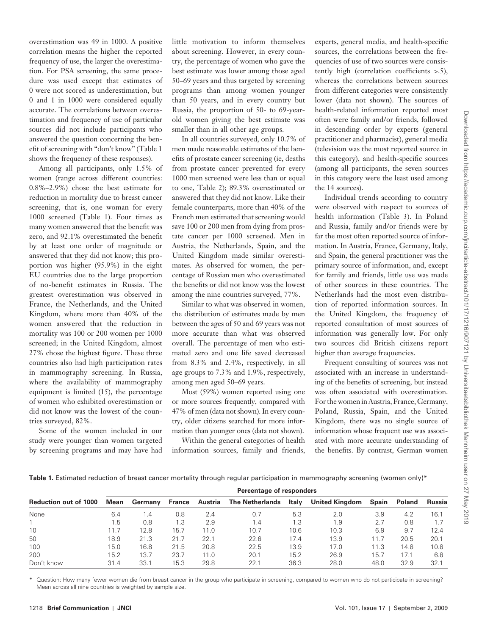overestimation was 49 in 1000. A positive correlation means the higher the reported frequency of use, the larger the overestimation. For PSA screening, the same procedure was used except that estimates of 0 were not scored as underestimation, but 0 and 1 in 1000 were considered equally accurate. The correlations between overestimation and frequency of use of particular sources did not include participants who answered the question concerning the benefit of screening with "don't know" (Table 1 shows the frequency of these responses).

Among all participants, only 1.5% of women (range across different countries:  $0.8\% - 2.9\%$ ) chose the best estimate for reduction in mortality due to breast cancer screening, that is, one woman for every 1000 screened (Table 1). Four times as many women answered that the benefit was zero, and 92.1% overestimated the benefit by at least one order of magnitude or answered that they did not know; this proportion was higher (95.9%) in the eight EU countries due to the large proportion of no-benefit estimates in Russia. The greatest overestimation was observed in France, the Netherlands, and the United Kingdom, where more than 40% of the women answered that the reduction in mortality was 100 or 200 women per 1000 screened; in the United Kingdom, almost 27% chose the highest figure. These three countries also had high participation rates in mammography screening. In Russia, where the availability of mammography equipment is limited  $(15)$ , the percentage of women who exhibited overestimation or did not know was the lowest of the countries surveyed, 82%.

Some of the women included in our study were younger than women targeted by screening programs and may have had

little motivation to inform themselves about screening. However, in every country, the percentage of women who gave the best estimate was lower among those aged 50-69 years and thus targeted by screening programs than among women younger than 50 years, and in every country but Russia, the proportion of 50- to 69-yearold women giving the best estimate was smaller than in all other age groups.

In all countries surveyed, only 10.7% of men made reasonable estimates of the benefits of prostate cancer screening (ie, deaths from prostate cancer prevented for every 1000 men screened were less than or equal to one, Table 2); 89.3% overestimated or answered that they did not know. Like their female counterparts, more than 40% of the French men estimated that screening would save 100 or 200 men from dying from prostate cancer per 1000 screened. Men in Austria, the Netherlands, Spain, and the United Kingdom made similar overestimates. As observed for women, the percentage of Russian men who overestimated the benefits or did not know was the lowest among the nine countries surveyed, 77%.

Similar to what was observed in women, the distribution of estimates made by men between the ages of 50 and 69 years was not more accurate than what was observed overall. The percentage of men who estimated zero and one life saved decreased from 8.3% and 2.4%, respectively, in all age groups to 7.3% and 1.9%, respectively, among men aged 50-69 years.

Most (59%) women reported using one or more sources frequently, compared with 47% of men (data not shown). In every country, older citizens searched for more information than younger ones (data not shown).

Within the general categories of health information sources, family and friends, experts, general media, and health-specific sources, the correlations between the frequencies of use of two sources were consistently high (correlation coefficients  $> 5$ ), whereas the correlations between sources from different categories were consistently lower (data not shown). The sources of health-related information reported most often were family and/or friends, followed in descending order by experts (general practitioner and pharmacist), general media (television was the most reported source in this category), and health-specific sources (among all participants, the seven sources in this category were the least used among the 14 sources).

Individual trends according to country were observed with respect to sources of health information (Table 3). In Poland and Russia, family and/or friends were by far the most often reported source of information. In Austria, France, Germany, Italy, and Spain, the general practitioner was the primary source of information, and, except for family and friends, little use was made of other sources in these countries. The Netherlands had the most even distribution of reported information sources. In the United Kingdom, the frequency of reported consultation of most sources of information was generally low. For only two sources did British citizens report higher than average frequencies.

Frequent consulting of sources was not associated with an increase in understanding of the benefits of screening, but instead was often associated with overestimation. For the women in Austria, France, Germany, Poland, Russia, Spain, and the United Kingdom, there was no single source of information whose frequent use was associated with more accurate understanding of the benefits. By contrast, German women

**Table 1.** Estimated reduction of breast cancer mortality through regular participation in mammography screening (women only) \*

| <b>Reduction out of 1000</b> | Percentage of responders |         |        |         |                        |              |                       |              |               |        |
|------------------------------|--------------------------|---------|--------|---------|------------------------|--------------|-----------------------|--------------|---------------|--------|
|                              | <b>Mean</b>              | Germany | France | Austria | <b>The Netherlands</b> | <b>Italy</b> | <b>United Kingdom</b> | <b>Spain</b> | <b>Poland</b> | Russia |
| None                         | 6.4                      | 1.4     | 0.8    | 2.4     | 0.7                    | 5.3          | 2.0                   | 3.9          | 4.2           | 16.7   |
|                              | 1.5                      | 0.8     | 1.3    | 2.9     | 1.4                    | 1.3          | . 9                   | 2.7          | 0.8           |        |
| 10                           | 11.7                     | 12.8    | 15.7   | 11.0    | 10.7                   | 10.6         | 10.3                  | 6.9          | 9.7           | 12.4   |
| 50                           | 18.9                     | 21.3    | 21.7   | 22.1    | 22.6                   | 17.4         | 13.9                  | 11.7         | 20.5          | 20.1   |
| 100                          | 15.0                     | 16.8    | 21.5   | 20.8    | 22.5                   | 13.9         | 17.0                  | 11.3         | 14.8          | 10.8   |
| 200                          | 15.2                     | 13.7    | 23.7   | 11.0    | 20.1                   | 15.2         | 26.9                  | 15.7         | 17.1          | 6.8    |
| Don't know                   | 31.4                     | 33.7    | 15.3   | 29.8    | 22.1                   | 36.3         | 28.0                  | 48.0         | 32.9          | 32.7   |

\* Question: How many fewer women die from breast cancer in the group who participate in screening, compared to women who do not participate in screening? Mean across all nine countries is weighted by sample size.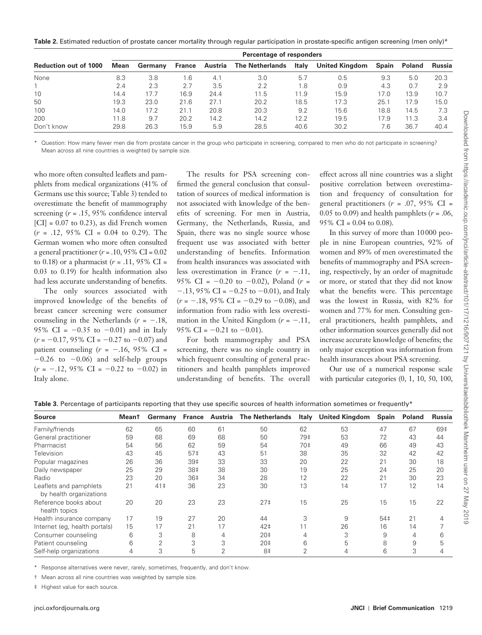| Table 2. Estimated reduction of prostate cancer mortality through regular participation in prostate-specific antigen screening (men only)* |  |  |  |
|--------------------------------------------------------------------------------------------------------------------------------------------|--|--|--|
|--------------------------------------------------------------------------------------------------------------------------------------------|--|--|--|

| <b>Reduction out of 1000</b> | Percentage of responders |         |               |         |                        |              |                       |              |               |        |  |
|------------------------------|--------------------------|---------|---------------|---------|------------------------|--------------|-----------------------|--------------|---------------|--------|--|
|                              | Mean                     | Germany | <b>France</b> | Austria | <b>The Netherlands</b> | <b>Italy</b> | <b>United Kingdom</b> | <b>Spain</b> | <b>Poland</b> | Russia |  |
| None                         | 8.3                      | 3.8     | 1.6           | 4.1     | 3.0                    | 5.7          | 0.5                   | 9.3          | 5.0           | 20.3   |  |
|                              | 2.4                      | 2.3     | 2.7           | 3.5     | 2.2                    | 1.8          | 0.9                   | 4.3          | 0.7           | 2.9    |  |
| 10                           | 14.4                     | 17.7    | 16.9          | 24.4    | 11.5                   | 11.9         | 15.9                  | 17.0         | 13.9          | 10.7   |  |
| 50                           | 19.3                     | 23.0    | 21.6          | 27.1    | 20.2                   | 18.5         | 17.3                  | 25.1         | 17.9          | 15.0   |  |
| 100                          | 14.0                     | 17.2    | 21.1          | 20.8    | 20.3                   | 9.2          | 15.6                  | 18.8         | 14.5          | 7.3    |  |
| 200                          | 11.8                     | 9.7     | 20.2          | 14.2    | 14.2                   | 12.2         | 19.5                  | 17.9         | 11.3          | 3.4    |  |
| Don't know                   | 29.8                     | 26.3    | 15.9          | 5.9     | 28.5                   | 40.6         | 30.2                  | 7.6          | 36.7          | 40.4   |  |

Question: How many fewer men die from prostate cancer in the group who participate in screening, compared to men who do not participate in screening? Mean across all nine countries is weighted by sample size.

who more often consulted leaflets and pamphlets from medical organizations (41% of Germans use this source; Table 3) tended to overestimate the benefit of mammography screening  $(r = .15, 95\%$  confidence interval  $[CI] = 0.07$  to 0.23), as did French women  $(r = .12, 95\% \text{ CI} = 0.04 \text{ to } 0.29)$ . The German women who more often consulted a general practitioner ( $r = .10, 95\%$  CI = 0.02 to 0.18) or a pharmacist  $(r = .11, 95\% \text{ CI} =$ 0.03 to 0.19) for health information also had less accurate understanding of benefits.

The only sources associated with improved knowledge of the benefits of breast cancer screening were consumer counseling in the Netherlands  $(r = -.18, )$ 95% CI =  $-0.35$  to  $-0.01$ ) and in Italy  $(r = -0.17, 95\% \text{ CI} = -0.27 \text{ to } -0.07) \text{ and}$ patient counseling  $(r = -.16, 95\% \text{ CI} =$  $-0.26$  to  $-0.06$ ) and self-help groups  $(r = -.12, 95\% \text{ CI} = -0.22 \text{ to } -0.02) \text{ in}$ Italy alone.

The results for PSA screening confirmed the general conclusion that consultation of sources of medical information is not associated with knowledge of the benefits of screening. For men in Austria, Germany, the Netherlands, Russia, and Spain, there was no single source whose frequent use was associated with better understanding of benefits. Information from health insurances was associated with less overestimation in France  $(r = -.11,$ 95% CI =  $-0.20$  to  $-0.02$ ), Poland (*r* =  $-.13,95\%$  CI =  $-0.25$  to  $-0.01$ ), and Italy  $(r = -.18, 95\% \text{ CI} = -0.29 \text{ to } -0.08), \text{ and}$ information from radio with less overestimation in the United Kingdom  $(r = -.11)$ , 95% CI =  $-0.21$  to  $-0.01$ ).

For both mammography and PSA screening, there was no single country in which frequent consulting of general practitioners and health pamphlets improved understanding of benefits. The overall effect across all nine countries was a slight positive correlation between overestimation and frequency of consultation for general practitioners  $(r = .07, 95\% \text{ CI} =$ 0.05 to 0.09) and health pamphlets  $(r = .06, )$ 95% CI = 0.04 to 0.08).

In this survey of more than 10 000 people in nine European countries, 92% of women and 89% of men overestimated the benefits of mammography and PSA screening, respectively, by an order of magnitude or more, or stated that they did not know what the benefits were. This percentage was the lowest in Russia, with 82% for women and 77% for men. Consulting general practitioners, health pamphlets, and other information sources generally did not increase accurate knowledge of benefits; the only major exception was information from health insurances about PSA screening.

Our use of a numerical response scale with particular categories (0, 1, 10, 50, 100,

|  | Table 3. Percentage of participants reporting that they use specific sources of health information sometimes or frequently* |  |  |  |  |
|--|-----------------------------------------------------------------------------------------------------------------------------|--|--|--|--|
|  |                                                                                                                             |  |  |  |  |

| <b>Source</b>                                     | Meant | Germany         | France |                | <b>Austria</b> The Netherlands | Italy    | <b>United Kingdom</b> | <b>Spain</b> | <b>Poland</b> | <b>Russia</b> |
|---------------------------------------------------|-------|-----------------|--------|----------------|--------------------------------|----------|-----------------------|--------------|---------------|---------------|
| Family/friends                                    | 62    | 65              | 60     | 61             | 50                             | 62       | 53                    | 47           | 67            | 69‡           |
| General practitioner                              | 59    | 68              | 69     | 68             | 50                             | 79‡      | 53                    | 72           | 43            | 44            |
| Pharmacist                                        | 54    | 56              | 62     | 59             | 54                             | 70‡      | 49                    | 66           | 49            | 43            |
| Television                                        | 43    | 45              | 57‡    | 43             | 51                             | 38       | 35                    | 32           | 42            | 42            |
| Popular magazines                                 | 26    | 36              | 39‡    | 33             | 33                             | 20       | 22                    | 21           | 30            | 18            |
| Daily newspaper                                   | 25    | 29              | 38‡    | 38             | 30                             | 19       | 25                    | 24           | 25            | 20            |
| Radio                                             | 23    | 20              | 36‡    | 34             | 28                             | 12       | 22                    | 21           | 30            | 23            |
| Leaflets and pamphlets<br>by health organizations | 21    | 41 <sup>‡</sup> | 36     | 23             | 30                             | 13       | 14                    | 17           | 12            | 14            |
| Reference books about<br>health topics            | 20    | 20              | 23     | 23             | 27 <sup>‡</sup>                | 15       | 25                    | 15           | 15            | 22            |
| Health insurance company                          | 17    | 19              | 27     | 20             | 44                             | 3        | 9                     | 54‡          | 21            |               |
| Internet (eg, health portals)                     | 15    | 17              | 21     | 17             | 42 <sup>‡</sup>                | 11       | 26                    | 16           | 14            |               |
| Consumer counseling                               | 6     | 3               | 8      | 4              | 20‡                            | 4        | 3                     | 9            | 4             | 6             |
| Patient counseling                                | 6     | 2               | 3      | 3              | 20 <sup>‡</sup>                | 6        | 5                     | 8            | 9             | 5             |
| Self-help organizations                           | 4     | 3               | 5      | $\overline{2}$ | 8 <sup>‡</sup>                 | $\Omega$ | 4                     | 6            | 3             |               |

Response alternatives were never, rarely, sometimes, frequently, and don't know.

† Mean across all nine countries was weighted by sample size.

‡ Highest value for each source.